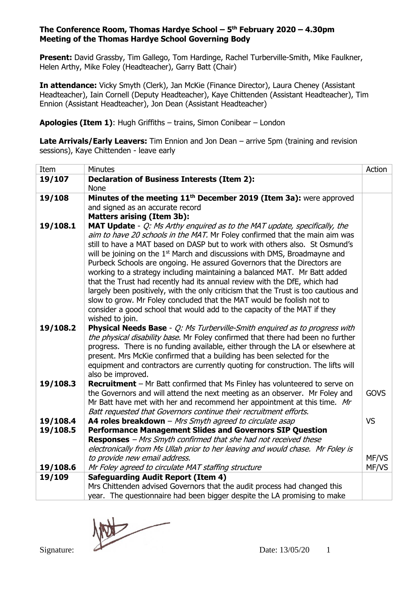**Present:** David Grassby, Tim Gallego, Tom Hardinge, Rachel Turberville-Smith, Mike Faulkner, Helen Arthy, Mike Foley (Headteacher), Garry Batt (Chair)

**In attendance:** Vicky Smyth (Clerk), Jan McKie (Finance Director), Laura Cheney (Assistant Headteacher), Iain Cornell (Deputy Headteacher), Kaye Chittenden (Assistant Headteacher), Tim Ennion (Assistant Headteacher), Jon Dean (Assistant Headteacher)

**Apologies (Item 1)**: Hugh Griffiths – trains, Simon Conibear – London

**Late Arrivals/Early Leavers:** Tim Ennion and Jon Dean – arrive 5pm (training and revision sessions), Kaye Chittenden - leave early

| Item     | Minutes                                                                                                                                                              | Action      |
|----------|----------------------------------------------------------------------------------------------------------------------------------------------------------------------|-------------|
| 19/107   | <b>Declaration of Business Interests (Item 2):</b>                                                                                                                   |             |
|          | <b>None</b>                                                                                                                                                          |             |
| 19/108   | Minutes of the meeting 11 <sup>th</sup> December 2019 (Item 3a): were approved                                                                                       |             |
|          | and signed as an accurate record                                                                                                                                     |             |
|          | <b>Matters arising (Item 3b):</b>                                                                                                                                    |             |
| 19/108.1 | MAT Update - Q: Ms Arthy enquired as to the MAT update, specifically, the                                                                                            |             |
|          | aim to have 20 schools in the MAT. Mr Foley confirmed that the main aim was                                                                                          |             |
|          | still to have a MAT based on DASP but to work with others also. St Osmund's<br>will be joining on the 1 <sup>st</sup> March and discussions with DMS, Broadmayne and |             |
|          | Purbeck Schools are ongoing. He assured Governors that the Directors are                                                                                             |             |
|          | working to a strategy including maintaining a balanced MAT. Mr Batt added                                                                                            |             |
|          | that the Trust had recently had its annual review with the DfE, which had                                                                                            |             |
|          | largely been positively, with the only criticism that the Trust is too cautious and                                                                                  |             |
|          | slow to grow. Mr Foley concluded that the MAT would be foolish not to                                                                                                |             |
|          | consider a good school that would add to the capacity of the MAT if they                                                                                             |             |
|          | wished to join.                                                                                                                                                      |             |
| 19/108.2 | <b>Physical Needs Base</b> - Q: Ms Turberville-Smith enquired as to progress with                                                                                    |             |
|          | the physical disability base. Mr Foley confirmed that there had been no further                                                                                      |             |
|          | progress. There is no funding available, either through the LA or elsewhere at                                                                                       |             |
|          | present. Mrs McKie confirmed that a building has been selected for the                                                                                               |             |
|          | equipment and contractors are currently quoting for construction. The lifts will                                                                                     |             |
|          | also be improved.                                                                                                                                                    |             |
| 19/108.3 | <b>Recruitment</b> – Mr Batt confirmed that Ms Finley has volunteered to serve on                                                                                    |             |
|          | the Governors and will attend the next meeting as an observer. Mr Foley and                                                                                          | <b>GOVS</b> |
|          | Mr Batt have met with her and recommend her appointment at this time. Mr<br>Batt requested that Governors continue their recruitment efforts.                        |             |
| 19/108.4 | A4 roles breakdown - Mrs Smyth agreed to circulate asap                                                                                                              | <b>VS</b>   |
| 19/108.5 | <b>Performance Management Slides and Governors SIP Question</b>                                                                                                      |             |
|          | <b>Responses</b> - Mrs Smyth confirmed that she had not received these                                                                                               |             |
|          | electronically from Ms Ullah prior to her leaving and would chase. Mr Foley is                                                                                       |             |
|          | to provide new email address.                                                                                                                                        | MF/VS       |
| 19/108.6 | Mr Foley agreed to circulate MAT staffing structure                                                                                                                  | MF/VS       |
| 19/109   | <b>Safeguarding Audit Report (Item 4)</b>                                                                                                                            |             |
|          | Mrs Chittenden advised Governors that the audit process had changed this                                                                                             |             |
|          | year. The questionnaire had been bigger despite the LA promising to make                                                                                             |             |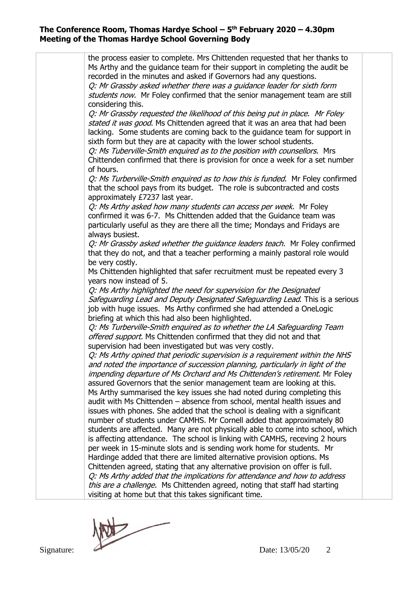the process easier to complete. Mrs Chittenden requested that her thanks to Ms Arthy and the guidance team for their support in completing the audit be recorded in the minutes and asked if Governors had any questions. Q: Mr Grassby asked whether there was a guidance leader for sixth form students now. Mr Foley confirmed that the senior management team are still considering this. Q: Mr Grassby requested the likelihood of this being put in place. Mr Foley stated it was good. Ms Chittenden agreed that it was an area that had been lacking. Some students are coming back to the guidance team for support in sixth form but they are at capacity with the lower school students. Q: Ms Tuberville-Smith enquired as to the position with counsellors. Mrs Chittenden confirmed that there is provision for once a week for a set number of hours. O: Ms Turberville-Smith enquired as to how this is funded. Mr Foley confirmed that the school pays from its budget. The role is subcontracted and costs approximately £7237 last year. Q: Ms Arthy asked how many students can access per week. Mr Foley confirmed it was 6-7. Ms Chittenden added that the Guidance team was particularly useful as they are there all the time; Mondays and Fridays are always busiest. O: Mr Grassby asked whether the quidance leaders teach. Mr Foley confirmed that they do not, and that a teacher performing a mainly pastoral role would be very costly. Ms Chittenden highlighted that safer recruitment must be repeated every 3 years now instead of 5. Q: Ms Arthy highlighted the need for supervision for the Designated Safeguarding Lead and Deputy Designated Safeguarding Lead. This is a serious job with huge issues. Ms Arthy confirmed she had attended a OneLogic briefing at which this had also been highlighted. Q: Ms Turberville-Smith enquired as to whether the LA Safeguarding Team offered support. Ms Chittenden confirmed that they did not and that supervision had been investigated but was very costly. Q: Ms Arthy opined that periodic supervision is a requirement within the NHS and noted the importance of succession planning, particularly in light of the impending departure of Ms Orchard and Ms Chittenden's retirement. Mr Foley assured Governors that the senior management team are looking at this. Ms Arthy summarised the key issues she had noted during completing this audit with Ms Chittenden – absence from school, mental health issues and issues with phones. She added that the school is dealing with a significant number of students under CAMHS. Mr Cornell added that approximately 80 students are affected. Many are not physically able to come into school, which is affecting attendance. The school is linking with CAMHS, receving 2 hours per week in 15-minute slots and is sending work home for students. Mr Hardinge added that there are limited alternative provision options. Ms Chittenden agreed, stating that any alternative provision on offer is full. Q: Ms Arthy added that the implications for attendance and how to address this are a challenge. Ms Chittenden agreed, noting that staff had starting visiting at home but that this takes significant time.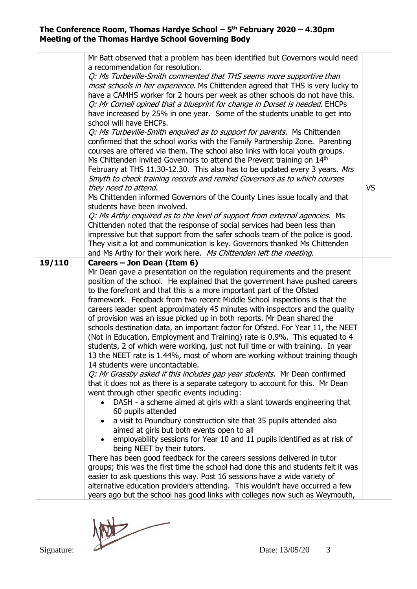|        | Mr Batt observed that a problem has been identified but Governors would need                                                                           |           |  |  |
|--------|--------------------------------------------------------------------------------------------------------------------------------------------------------|-----------|--|--|
|        | a recommendation for resolution.                                                                                                                       |           |  |  |
|        | Q: Ms Turbeville-Smith commented that THS seems more supportive than                                                                                   |           |  |  |
|        | most schools in her experience. Ms Chittenden agreed that THS is very lucky to                                                                         |           |  |  |
|        | have a CAMHS worker for 2 hours per week as other schools do not have this.                                                                            |           |  |  |
|        | Q: Mr Cornell opined that a blueprint for change in Dorset is needed. EHCPs                                                                            |           |  |  |
|        | have increased by 25% in one year. Some of the students unable to get into                                                                             |           |  |  |
|        | school will have EHCPs.                                                                                                                                |           |  |  |
|        | Q: Ms Turbeville-Smith enquired as to support for parents. Ms Chittenden                                                                               |           |  |  |
|        | confirmed that the school works with the Family Partnership Zone. Parenting                                                                            |           |  |  |
|        | courses are offered via them. The school also links with local youth groups.                                                                           |           |  |  |
|        | Ms Chittenden invited Governors to attend the Prevent training on 14th                                                                                 |           |  |  |
|        | February at THS 11.30-12.30. This also has to be updated every 3 years. Mrs                                                                            |           |  |  |
|        | Smyth to check training records and remind Governors as to which courses                                                                               |           |  |  |
|        | they need to attend.                                                                                                                                   | <b>VS</b> |  |  |
|        | Ms Chittenden informed Governors of the County Lines issue locally and that                                                                            |           |  |  |
|        | students have been involved.                                                                                                                           |           |  |  |
|        | Q: Ms Arthy enquired as to the level of support from external agencies. Ms<br>Chittenden noted that the response of social services had been less than |           |  |  |
|        | impressive but that support from the safer schools team of the police is good.                                                                         |           |  |  |
|        | They visit a lot and communication is key. Governors thanked Ms Chittenden                                                                             |           |  |  |
|        | and Ms Arthy for their work here. Ms Chittenden left the meeting.                                                                                      |           |  |  |
| 19/110 | Careers - Jon Dean (Item 6)                                                                                                                            |           |  |  |
|        | Mr Dean gave a presentation on the regulation requirements and the present                                                                             |           |  |  |
|        | position of the school. He explained that the government have pushed careers                                                                           |           |  |  |
|        | to the forefront and that this is a more important part of the Ofsted                                                                                  |           |  |  |
|        | framework. Feedback from two recent Middle School inspections is that the                                                                              |           |  |  |
|        | careers leader spent approximately 45 minutes with inspectors and the quality                                                                          |           |  |  |
|        | of provision was an issue picked up in both reports. Mr Dean shared the                                                                                |           |  |  |
|        | schools destination data, an important factor for Ofsted. For Year 11, the NEET                                                                        |           |  |  |
|        | (Not in Education, Employment and Training) rate is 0.9%. This equated to 4                                                                            |           |  |  |
|        | students, 2 of which were working, just not full time or with training. In year                                                                        |           |  |  |
|        | 13 the NEET rate is 1.44%, most of whom are working without training though                                                                            |           |  |  |
|        | 14 students were uncontactable.                                                                                                                        |           |  |  |
|        | Q: Mr Grassby asked if this includes gap year students. Mr Dean confirmed                                                                              |           |  |  |
|        | that it does not as there is a separate category to account for this. Mr Dean                                                                          |           |  |  |
|        | went through other specific events including:                                                                                                          |           |  |  |
|        | DASH - a scheme aimed at girls with a slant towards engineering that<br>60 pupils attended                                                             |           |  |  |
|        | a visit to Poundbury construction site that 35 pupils attended also                                                                                    |           |  |  |
|        | aimed at girls but both events open to all                                                                                                             |           |  |  |
|        | employability sessions for Year 10 and 11 pupils identified as at risk of                                                                              |           |  |  |
|        | being NEET by their tutors.                                                                                                                            |           |  |  |
|        | There has been good feedback for the careers sessions delivered in tutor                                                                               |           |  |  |
|        | groups; this was the first time the school had done this and students felt it was                                                                      |           |  |  |
|        | easier to ask questions this way. Post 16 sessions have a wide variety of                                                                              |           |  |  |
|        | alternative education providers attending. This wouldn't have occurred a few                                                                           |           |  |  |
|        | years ago but the school has good links with colleges now such as Weymouth,                                                                            |           |  |  |

Signature: Date: 13/05/20 3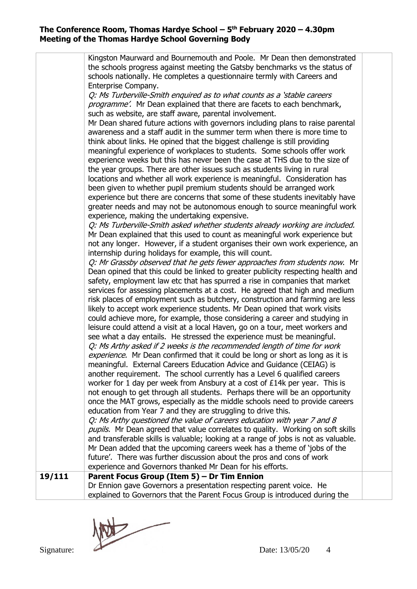|        | Kingston Maurward and Bournemouth and Poole. Mr Dean then demonstrated              |  |
|--------|-------------------------------------------------------------------------------------|--|
|        | the schools progress against meeting the Gatsby benchmarks vs the status of         |  |
|        | schools nationally. He completes a questionnaire termly with Careers and            |  |
|        | Enterprise Company.                                                                 |  |
|        | Q: Ms Turberville-Smith enquired as to what counts as a 'stable careers'            |  |
|        | programme'. Mr Dean explained that there are facets to each benchmark,              |  |
|        | such as website, are staff aware, parental involvement.                             |  |
|        | Mr Dean shared future actions with governors including plans to raise parental      |  |
|        | awareness and a staff audit in the summer term when there is more time to           |  |
|        | think about links. He opined that the biggest challenge is still providing          |  |
|        | meaningful experience of workplaces to students. Some schools offer work            |  |
|        | experience weeks but this has never been the case at THS due to the size of         |  |
|        | the year groups. There are other issues such as students living in rural            |  |
|        | locations and whether all work experience is meaningful. Consideration has          |  |
|        | been given to whether pupil premium students should be arranged work                |  |
|        | experience but there are concerns that some of these students inevitably have       |  |
|        | greater needs and may not be autonomous enough to source meaningful work            |  |
|        | experience, making the undertaking expensive.                                       |  |
|        | Q: Ms Turberville-Smith asked whether students already working are included.        |  |
|        | Mr Dean explained that this used to count as meaningful work experience but         |  |
|        | not any longer. However, if a student organises their own work experience, an       |  |
|        | internship during holidays for example, this will count.                            |  |
|        | Q: Mr Grassby observed that he gets fewer approaches from students now. Mr          |  |
|        | Dean opined that this could be linked to greater publicity respecting health and    |  |
|        |                                                                                     |  |
|        | safety, employment law etc that has spurred a rise in companies that market         |  |
|        | services for assessing placements at a cost. He agreed that high and medium         |  |
|        | risk places of employment such as butchery, construction and farming are less       |  |
|        | likely to accept work experience students. Mr Dean opined that work visits          |  |
|        | could achieve more, for example, those considering a career and studying in         |  |
|        | leisure could attend a visit at a local Haven, go on a tour, meet workers and       |  |
|        | see what a day entails. He stressed the experience must be meaningful.              |  |
|        | Q: Ms Arthy asked if 2 weeks is the recommended length of time for work             |  |
|        | experience. Mr Dean confirmed that it could be long or short as long as it is       |  |
|        | meaningful. External Careers Education Advice and Guidance (CEIAG) is               |  |
|        | another requirement. The school currently has a Level 6 qualified careers           |  |
|        | worker for 1 day per week from Ansbury at a cost of £14k per year. This is          |  |
|        | not enough to get through all students. Perhaps there will be an opportunity        |  |
|        | once the MAT grows, especially as the middle schools need to provide careers        |  |
|        | education from Year 7 and they are struggling to drive this.                        |  |
|        | Q: Ms Arthy questioned the value of careers education with year 7 and 8             |  |
|        | pupils. Mr Dean agreed that value correlates to quality. Working on soft skills     |  |
|        | and transferable skills is valuable; looking at a range of jobs is not as valuable. |  |
|        | Mr Dean added that the upcoming careers week has a theme of 'jobs of the            |  |
|        | future'. There was further discussion about the pros and cons of work               |  |
|        | experience and Governors thanked Mr Dean for his efforts.                           |  |
| 19/111 | Parent Focus Group (Item 5) - Dr Tim Ennion                                         |  |
|        | Dr Ennion gave Governors a presentation respecting parent voice. He                 |  |
|        | explained to Governors that the Parent Focus Group is introduced during the         |  |

Signature: 2000 1 Date: 13/05/20 4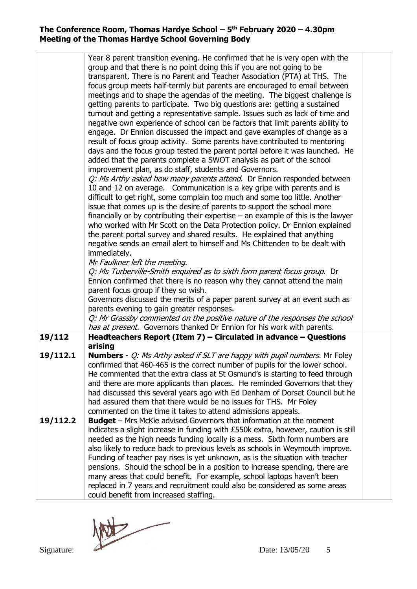|          | Year 8 parent transition evening. He confirmed that he is very open with the            |  |
|----------|-----------------------------------------------------------------------------------------|--|
|          | group and that there is no point doing this if you are not going to be                  |  |
|          | transparent. There is no Parent and Teacher Association (PTA) at THS. The               |  |
|          | focus group meets half-termly but parents are encouraged to email between               |  |
|          | meetings and to shape the agendas of the meeting. The biggest challenge is              |  |
|          |                                                                                         |  |
|          | getting parents to participate. Two big questions are: getting a sustained              |  |
|          | turnout and getting a representative sample. Issues such as lack of time and            |  |
|          | negative own experience of school can be factors that limit parents ability to          |  |
|          | engage. Dr Ennion discussed the impact and gave examples of change as a                 |  |
|          | result of focus group activity. Some parents have contributed to mentoring              |  |
|          | days and the focus group tested the parent portal before it was launched. He            |  |
|          | added that the parents complete a SWOT analysis as part of the school                   |  |
|          | improvement plan, as do staff, students and Governors.                                  |  |
|          | Q: Ms Arthy asked how many parents attend. Dr Ennion responded between                  |  |
|          | 10 and 12 on average. Communication is a key gripe with parents and is                  |  |
|          | difficult to get right, some complain too much and some too little. Another             |  |
|          | issue that comes up is the desire of parents to support the school more                 |  |
|          | financially or by contributing their expertise $-$ an example of this is the lawyer     |  |
|          | who worked with Mr Scott on the Data Protection policy. Dr Ennion explained             |  |
|          | the parent portal survey and shared results. He explained that anything                 |  |
|          | negative sends an email alert to himself and Ms Chittenden to be dealt with             |  |
|          | immediately.                                                                            |  |
|          | Mr Faulkner left the meeting.                                                           |  |
|          | Q: Ms Turberville-Smith enquired as to sixth form parent focus group. Dr                |  |
|          | Ennion confirmed that there is no reason why they cannot attend the main                |  |
|          | parent focus group if they so wish.                                                     |  |
|          | Governors discussed the merits of a paper parent survey at an event such as             |  |
|          | parents evening to gain greater responses.                                              |  |
|          | Q: Mr Grassby commented on the positive nature of the responses the school              |  |
|          | has at present. Governors thanked Dr Ennion for his work with parents.                  |  |
| 19/112   | Headteachers Report (Item 7) - Circulated in advance - Questions                        |  |
|          | arising                                                                                 |  |
| 19/112.1 | <b>Numbers</b> - <i>Q: Ms Arthy asked if SLT are happy with pupil numbers.</i> Mr Foley |  |
|          | confirmed that 460-465 is the correct number of pupils for the lower school.            |  |
|          | He commented that the extra class at St Osmund's is starting to feed through            |  |
|          | and there are more applicants than places. He reminded Governors that they              |  |
|          | had discussed this several years ago with Ed Denham of Dorset Council but he            |  |
|          | had assured them that there would be no issues for THS. Mr Foley                        |  |
|          | commented on the time it takes to attend admissions appeals.                            |  |
| 19/112.2 | <b>Budget</b> – Mrs McKie advised Governors that information at the moment              |  |
|          | indicates a slight increase in funding with £550k extra, however, caution is still      |  |
|          | needed as the high needs funding locally is a mess. Sixth form numbers are              |  |
|          | also likely to reduce back to previous levels as schools in Weymouth improve.           |  |
|          | Funding of teacher pay rises is yet unknown, as is the situation with teacher           |  |
|          | pensions. Should the school be in a position to increase spending, there are            |  |
|          | many areas that could benefit. For example, school laptops haven't been                 |  |
|          | replaced in 7 years and recruitment could also be considered as some areas              |  |
|          | could benefit from increased staffing.                                                  |  |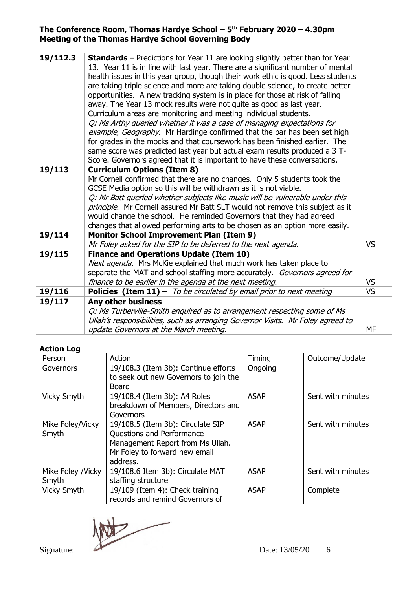| 19/112.3 | <b>Standards</b> – Predictions for Year 11 are looking slightly better than for Year<br>13. Year 11 is in line with last year. There are a significant number of mental<br>health issues in this year group, though their work ethic is good. Less students<br>are taking triple science and more are taking double science, to create better<br>opportunities. A new tracking system is in place for those at risk of falling<br>away. The Year 13 mock results were not quite as good as last year.<br>Curriculum areas are monitoring and meeting individual students.<br>Q: Ms Arthy queried whether it was a case of managing expectations for<br>example, Geography. Mr Hardinge confirmed that the bar has been set high<br>for grades in the mocks and that coursework has been finished earlier. The<br>same score was predicted last year but actual exam results produced a 3 T-<br>Score. Governors agreed that it is important to have these conversations. |           |
|----------|--------------------------------------------------------------------------------------------------------------------------------------------------------------------------------------------------------------------------------------------------------------------------------------------------------------------------------------------------------------------------------------------------------------------------------------------------------------------------------------------------------------------------------------------------------------------------------------------------------------------------------------------------------------------------------------------------------------------------------------------------------------------------------------------------------------------------------------------------------------------------------------------------------------------------------------------------------------------------|-----------|
| 19/113   | <b>Curriculum Options (Item 8)</b><br>Mr Cornell confirmed that there are no changes. Only 5 students took the<br>GCSE Media option so this will be withdrawn as it is not viable.<br>Q: Mr Batt queried whether subjects like music will be vulnerable under this<br>principle. Mr Cornell assured Mr Batt SLT would not remove this subject as it<br>would change the school. He reminded Governors that they had agreed<br>changes that allowed performing arts to be chosen as an option more easily.                                                                                                                                                                                                                                                                                                                                                                                                                                                                |           |
| 19/114   | <b>Monitor School Improvement Plan (Item 9)</b><br>Mr Foley asked for the SIP to be deferred to the next agenda.                                                                                                                                                                                                                                                                                                                                                                                                                                                                                                                                                                                                                                                                                                                                                                                                                                                         | <b>VS</b> |
| 19/115   | <b>Finance and Operations Update (Item 10)</b><br>Next agenda. Mrs McKie explained that much work has taken place to<br>separate the MAT and school staffing more accurately. Governors agreed for<br>finance to be earlier in the agenda at the next meeting.                                                                                                                                                                                                                                                                                                                                                                                                                                                                                                                                                                                                                                                                                                           | <b>VS</b> |
| 19/116   | <b>Policies (Item 11)</b> $-$ <i>To be circulated by email prior to next meeting</i>                                                                                                                                                                                                                                                                                                                                                                                                                                                                                                                                                                                                                                                                                                                                                                                                                                                                                     | <b>VS</b> |
| 19/117   | <b>Any other business</b><br>Q: Ms Turberville-Smith enguired as to arrangement respecting some of Ms<br>Ullah's responsibilities, such as arranging Governor Visits. Mr Foley agreed to<br>update Governors at the March meeting.                                                                                                                                                                                                                                                                                                                                                                                                                                                                                                                                                                                                                                                                                                                                       | MF        |

# **Action Log**

| Person                      | Action                                                                                                                                          | Timing      | Outcome/Update    |
|-----------------------------|-------------------------------------------------------------------------------------------------------------------------------------------------|-------------|-------------------|
| Governors                   | 19/108.3 (Item 3b): Continue efforts<br>to seek out new Governors to join the<br>Board                                                          | Ongoing     |                   |
| Vicky Smyth                 | 19/108.4 (Item 3b): A4 Roles<br>breakdown of Members, Directors and<br>Governors                                                                | <b>ASAP</b> | Sent with minutes |
| Mike Foley/Vicky<br>Smyth   | 19/108.5 (Item 3b): Circulate SIP<br>Questions and Performance<br>Management Report from Ms Ullah.<br>Mr Foley to forward new email<br>address. | <b>ASAP</b> | Sent with minutes |
| Mike Foley / Vicky<br>Smyth | 19/108.6 Item 3b): Circulate MAT<br>staffing structure                                                                                          | <b>ASAP</b> | Sent with minutes |
| <b>Vicky Smyth</b>          | 19/109 (Item 4): Check training<br>records and remind Governors of                                                                              | <b>ASAP</b> | Complete          |

Signature: 2008. Date: 13/05/20 6